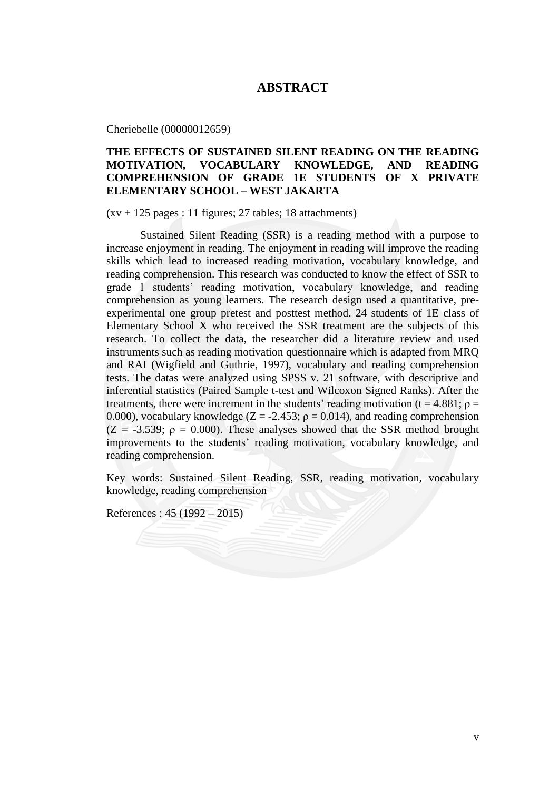## **ABSTRACT**

Cheriebelle (00000012659)

## **THE EFFECTS OF SUSTAINED SILENT READING ON THE READING MOTIVATION, VOCABULARY KNOWLEDGE, AND READING COMPREHENSION OF GRADE 1E STUDENTS OF X PRIVATE ELEMENTARY SCHOOL – WEST JAKARTA**

 $(xv + 125$  pages : 11 figures; 27 tables; 18 attachments)

Sustained Silent Reading (SSR) is a reading method with a purpose to increase enjoyment in reading. The enjoyment in reading will improve the reading skills which lead to increased reading motivation, vocabulary knowledge, and reading comprehension. This research was conducted to know the effect of SSR to grade 1 students' reading motivation, vocabulary knowledge, and reading comprehension as young learners. The research design used a quantitative, preexperimental one group pretest and posttest method. 24 students of 1E class of Elementary School X who received the SSR treatment are the subjects of this research. To collect the data, the researcher did a literature review and used instruments such as reading motivation questionnaire which is adapted from MRQ and RAI (Wigfield and Guthrie, 1997), vocabulary and reading comprehension tests. The datas were analyzed using SPSS v. 21 software, with descriptive and inferential statistics (Paired Sample t-test and Wilcoxon Signed Ranks). After the treatments, there were increment in the students' reading motivation ( $t = 4.881$ ;  $\rho =$ 0.000), vocabulary knowledge ( $Z = -2.453$ ;  $\rho = 0.014$ ), and reading comprehension  $(Z = -3.539; \rho = 0.000)$ . These analyses showed that the SSR method brought improvements to the students' reading motivation, vocabulary knowledge, and reading comprehension.

Key words: Sustained Silent Reading, SSR, reading motivation, vocabulary knowledge, reading comprehension

References : 45 (1992 – 2015)